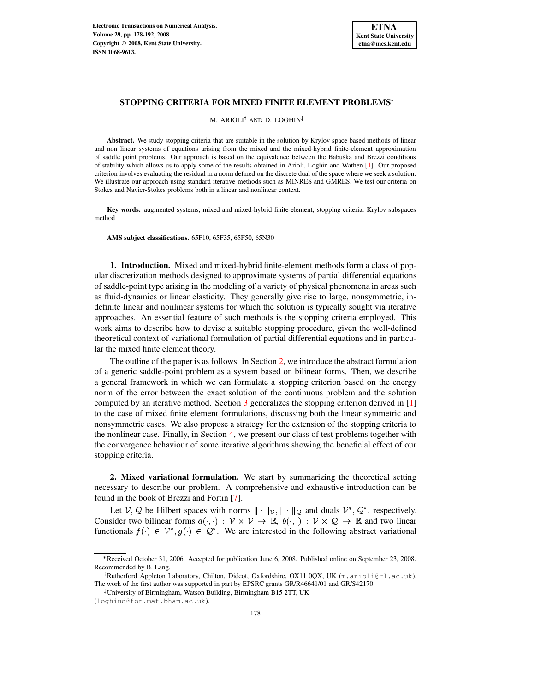

M. ARIOLI<sup>†</sup> AND D. LOGHIN

**Abstract.** We study stopping criteria that are suitable in the solution by Krylov space based methods of linear and non linear systems of equations arising from the mixed and the mixed-hybrid finite-element approximation of saddle point problems. Our approach is based on the equivalence between the Babuška and Brezzi conditions of stability which allows us to apply some of the results obtained in Arioli, Loghin and Wathen [\[1\]](#page-13-0). Our proposed criterion involves evaluating the residual in a norm defined on the discrete dual of the space where we seek a solution. We illustrate our approach using standard iterative methods such as MINRES and GMRES. We test our criteria on Stokes and Navier-Stokes problems both in a linear and nonlinear context.

**Key words.** augmented systems, mixed and mixed-hybrid finite-element, stopping criteria, Krylov subspaces method

**AMS subject classifications.** 65F10, 65F35, 65F50, 65N30

**1. Introduction.** Mixed and mixed-hybrid finite-element methods form a class of popular discretization methods designed to approximate systems of partial differential equations of saddle-point type arising in the modeling of a variety of physical phenomena in areas such as fluid-dynamics or linear elasticity. They generally give rise to large, nonsymmetric, indefinite linear and nonlinear systems for which the solution is typically sought via iterative approaches. An essential feature of such methods is the stopping criteria employed. This work aims to describe how to devise a suitable stopping procedure, given the well-defined theoretical context of variational formulation of partial differential equations and in particular the mixed finite element theory.

The outline of the paper is as follows. In Section [2,](#page-0-0) we introduce the abstract formulation of a generic saddle-point problem as a system based on bilinear forms. Then, we describe a general framework in which we can formulate a stopping criterion based on the energy norm of the error between the exact solution of the continuous problem and the solution computed by an iterative method. Section [3](#page-3-0) generalizes the stopping criterion derived in [\[1\]](#page-13-0) to the case of mixed finite element formulations, discussing both the linear symmetric and nonsymmetric cases. We also propose a strategy for the extension of the stopping criteria to the nonlinear case. Finally, in Section [4,](#page-7-0) we present our class of test problems together with the convergence behaviour of some iterative algorithms showing the beneficial effect of our stopping criteria.

<span id="page-0-0"></span>**2. Mixed variational formulation.** We start by summarizing the theoretical setting necessary to describe our problem. A comprehensive and exhaustive introduction can be found in the book of Brezzi and Fortin [\[7\]](#page-13-1).

Let  $V, Q$  be Hilbert spaces with norms  $\|\cdot\|_{V}$ ,  $\|\cdot\|_{Q}$  and duals  $V^*, Q^*$ , respectively. Consider two bilinear forms  $a(\cdot, \cdot) : \mathcal{V} \times \mathcal{V} \to \mathbb{R}$ ,  $b(\cdot, \cdot) : \mathcal{V} \times \mathcal{Q} \to \mathbb{R}$  and two linear functionals  $f(.) \in \mathcal{V}^*, g(.) \in \mathcal{Q}^*$ . We are interested in the following abstract variational

<sup>5</sup> Received October 31, 2006. Accepted for publication June 6, 2008. Published online on September 23, 2008. Recommended by B. Lang.

<sup>&</sup>lt;sup>†</sup>Rutherford Appleton Laboratory, Chilton, Didcot, Oxfordshire, OX11 0QX, UK (m.arioli@rl.ac.uk). The work of the first author was supported in part by EPSRC grants GR/R46641/01 and GR/S42170.

<sup>-</sup> University of Birmingham, Watson Building, Birmingham B15 2TT, UK

<sup>(</sup>loghind@for.mat.bham.ac.uk).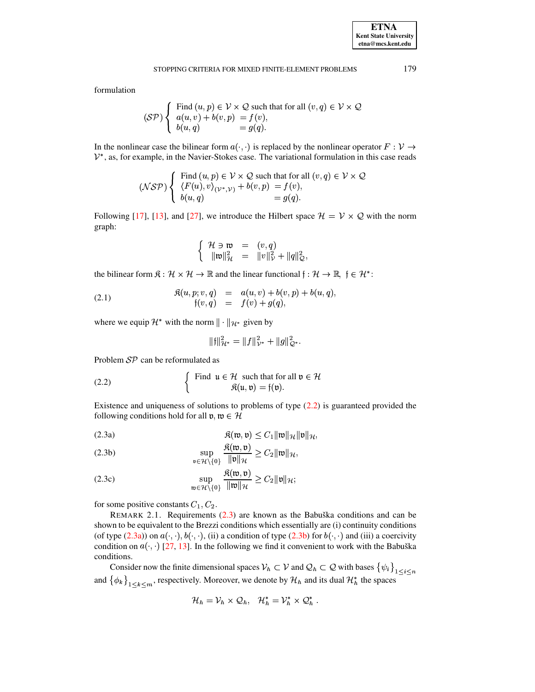formulation

$$
(\mathcal{SP}) \left\{ \begin{array}{l} \text{Find } (u, p) \in \mathcal{V} \times \mathcal{Q} \text{ such that for all } (v, q) \in \mathcal{V} \times \mathcal{Q} \\ a(u, v) + b(v, p) = f(v), \\ b(u, q) = g(q). \end{array} \right.
$$

In the nonlinear case the bilinear form  $a(\cdot, \cdot)$  is replaced by the nonlinear operator  $F: \mathcal{V} \to$  $\mathcal{V}^*$ , as, for example, in the Navier-Stokes case. The variational formulation in this case reads

$$
(\mathcal{NSP}) \left\{ \begin{array}{l} \text{Find } (u, p) \in \mathcal{V} \times \mathcal{Q} \text{ such that for all } (v, q) \in \mathcal{V} \times \mathcal{Q} \\ \langle F(u), v \rangle_{(\mathcal{V}^*, \mathcal{V})} + b(v, p) = f(v), \\ b(u, q) = g(q). \end{array} \right.
$$

Following [\[17\]](#page-14-0), [\[13\]](#page-13-2), and [\[27\]](#page-14-1), we introduce the Hilbert space  $\mathcal{H} = \mathcal{V} \times \mathcal{Q}$  with the norm graph:

$$
\left\{\n\begin{array}{rcl}\n\mathcal{H} \ni \mathfrak{w} & = & (v, q) \\
\|\mathfrak{w}\|_{\mathcal{H}}^2 & = & \|v\|_{\mathcal{V}}^2 + \|q\|_{\mathcal{Q}}^2,\n\end{array}\n\right.
$$

the bilinear form  $\mathfrak{K} : \mathcal{H} \times \mathcal{H} \to \mathbb{R}$  and the linear functional  $\mathfrak{f} : \mathcal{H} \to \mathbb{R}, \ \mathfrak{f} \in \mathcal{H}^*$ :

<span id="page-1-3"></span>(2.1) 
$$
\mathfrak{K}(u, p; v, q) = a(u, v) + b(v, p) + b(u, q), \n\mathfrak{f}(v, q) = f(v) + g(q),
$$

where we equip  $\mathcal{H}^*$  with the norm  $\|\cdot\|_{\mathcal{H}^*}$  given by

<span id="page-1-0"></span>
$$
\|f\|_{\mathcal{H}^*}^2 = \|f\|_{\mathcal{V}^*}^2 + \|g\|_{\mathcal{Q}^*}^2.
$$

Problem  $\mathcal{SP}$  can be reformulated as

(2.2) 
$$
\begin{cases} \text{Find } u \in \mathcal{H} \text{ such that for all } \mathfrak{v} \in \mathcal{H} \\ \mathfrak{K}(\mathfrak{u}, \mathfrak{v}) = \mathfrak{f}(\mathfrak{v}). \end{cases}
$$

Existence and uniqueness of solutions to problems of type [\(2.2\)](#page-1-0) is guaranteed provided the following conditions hold for all  $v, w \in \mathcal{H}$ 

$$
\mathfrak{K}(\mathfrak{w},\mathfrak{v}) \leq C_1 \|\mathfrak{w}\|_{\mathcal{H}} \|\mathfrak{v}\|_{\mathcal{H}},
$$

<span id="page-1-2"></span><span id="page-1-1"></span> $\sim$ 

(2.3b) 
$$
\sup_{\mathfrak{v}\in\mathcal{H}\setminus\{0\}}\frac{\mathfrak{K}(\mathfrak{w},\mathfrak{v})}{\|\mathfrak{v}\|_{\mathcal{H}}} \geq C_2\|\mathfrak{w}\|_{\mathcal{H}},
$$

(2.3c) 
$$
\sup_{\mathfrak{w}\in\mathcal{H}\backslash\{0\}}\frac{\mathfrak{K}(\mathfrak{w},\mathfrak{v})}{\|\mathfrak{w}\|_{\mathcal{H}}} \geq C_2\|\mathfrak{v}\|_{\mathcal{H}};
$$

for some positive constants  $C_1, C_2$ .

REMARK 2.1. Requirements  $(2.3)$  are known as the Babuška conditions and can be shown to be equivalent to the Brezzi conditions which essentially are (i) continuity conditions (of type  $(2.3a)$ ) on  $a(\cdot, \cdot), b(\cdot, \cdot)$ , (ii) a condition of type  $(2.3b)$  for  $b(\cdot, \cdot)$  and (iii) a coercivity condition on  $a(\cdot, \cdot)$  [\[27,](#page-14-1) [13\]](#page-13-2). In the following we find it convenient to work with the Babuška conditions.

Consider now the finite dimensional spaces  $\mathcal{V}_h \subset \mathcal{V}$  and  $\mathcal{Q}_h \subset \mathcal{Q}$  with bases  $\{\psi_i\}_{1 \leq i \leq n}$ and  $\{\phi_k\}_{1 \leq k \leq m}$ , respectively. Moreover, we denote by  $\mathcal{H}_h$  and its dual  $\mathcal{H}_h^*$  the spaces

$$
\mathcal{H}_h = \mathcal{V}_h \times \mathcal{Q}_h, \quad \mathcal{H}_h^* = \mathcal{V}_h^* \times \mathcal{Q}_h^*.
$$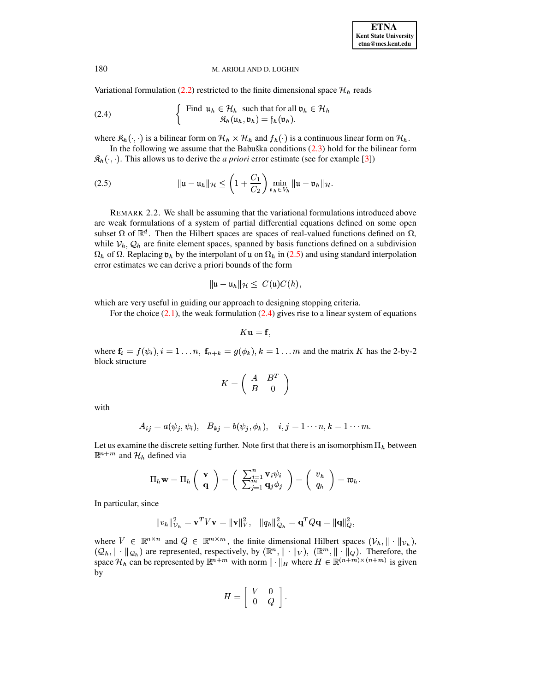Variational formulation [\(2.2\)](#page-1-0) restricted to the finite dimensional space  $\mathcal{H}_h$  reads

<span id="page-2-1"></span>(2.4) 
$$
\begin{cases} \text{Find } \mathfrak{u}_h \in \mathcal{H}_h \text{ such that for all } \mathfrak{v}_h \in \mathcal{H}_h \\ \mathfrak{K}_h(\mathfrak{u}_h, \mathfrak{v}_h) = \mathfrak{f}_h(\mathfrak{v}_h). \end{cases}
$$

where  $\mathfrak{K}_h(\cdot, \cdot)$  is a bilinear form on  $\mathcal{H}_h \times \mathcal{H}_h$  and  $f_h(\cdot)$  is a continuous linear form on  $\mathcal{H}_h$ .

In the following we assume that the Babuška conditions  $(2.3)$  hold for the bilinear form  $\mathcal{R}_h(\cdot, \cdot)$ . This allows us to derive the *a priori* error estimate (see for example [\[3\]](#page-13-3))

(2.5) 
$$
\|u - u_h\|_{\mathcal{H}} \leq \left(1 + \frac{C_1}{C_2}\right) \min_{v_h \in V_h} \|u - v_h\|_{\mathcal{H}}.
$$

REMARK 2.2. We shall be assuming that the variational formulations introduced above are weak formulations of a system of partial differential equations defined on some open subset  $\Omega$  of  $\mathbb{R}^d$ . Then the Hilbert spaces are spaces of real-valued functions defined on  $\Omega$ , while  $V_h$ ,  $\mathcal{Q}_h$  are finite element spaces, spanned by basis functions defined on a subdivision  $\Omega_h$  of  $\Omega$ . Replacing  $\mathfrak{v}_h$  by the interpolant of  $\mathfrak{u}$  on  $\Omega_h$  in [\(2.5\)](#page-2-0) and using standard interpolation error estimates we can derive a priori bounds of the form

<span id="page-2-0"></span>
$$
\|\mathfrak{u}-\mathfrak{u}_h\|_{\mathcal{H}}\leq C(\mathfrak{u})C(h),
$$

which are very useful in guiding our approach to designing stopping criteria.

For the choice  $(2.1)$ , the weak formulation  $(2.4)$  gives rise to a linear system of equations

$$
K\mathbf{u}=\mathbf{f},
$$

where  $\mathbf{f}_i = f(\psi_i), i = 1 \dots n$ ,  $\mathbf{f}_{n+k} = g(\phi_k), k = 1 \dots m$  and the matrix K has the 2-by-2 block structure

$$
K=\left(\begin{array}{cc}A&B^T\\B&0\end{array}\right)
$$

with

$$
A_{ij} = a(\psi_j, \psi_i), \quad B_{kj} = b(\psi_j, \phi_k), \quad i, j = 1 \cdots n, k = 1 \cdots m.
$$

Let us examine the discrete setting further. Note first that there is an isomorphism  $\Pi_h$  between  $\mathbb{R}^{n+m}$  and  $\mathcal{H}_h$  defined via

$$
\Pi_h \mathbf{w} = \Pi_h \left( \begin{array}{c} \mathbf{v} \\ \mathbf{q} \end{array} \right) = \left( \begin{array}{c} \sum_{j=1}^n \mathbf{v}_i \psi_i \\ \sum_{j=1}^m \mathbf{q}_j \phi_j \end{array} \right) = \left( \begin{array}{c} v_h \\ q_h \end{array} \right) = \mathfrak{w}_h.
$$

In particular, since

$$
||v_h||^2_{\mathcal{V}_h} = \mathbf{v}^T V \mathbf{v} = ||\mathbf{v}||^2_V, \quad ||q_h||^2_{\mathcal{Q}_h} = \mathbf{q}^T Q \mathbf{q} = ||\mathbf{q}||^2_Q,
$$

where  $V \in \mathbb{R}^{n \times n}$  and  $Q \in \mathbb{R}^{m \times m}$ , the finite dimensional Hilbert spaces  $(\mathcal{V}_h, \|\cdot\|_{\mathcal{V}_h})$ ,  $(Q_h, \|\cdot\|_{Q_h})$  are represented, respectively, by  $(\mathbb{R}^n, \|\cdot\|_V)$ ,  $(\mathbb{R}^m, \|\cdot\|_Q)$ . Therefore, the space  $\mathcal{H}_h$  can be represented by  $\mathbb{R}^{n+m}$  with norm  $\|\cdot\|_H$  where  $H \in \mathbb{R}^{(n+m)\times (n+m)}$  is given by

$$
H = \left[ \begin{array}{cc} V & 0 \\ 0 & Q \end{array} \right].
$$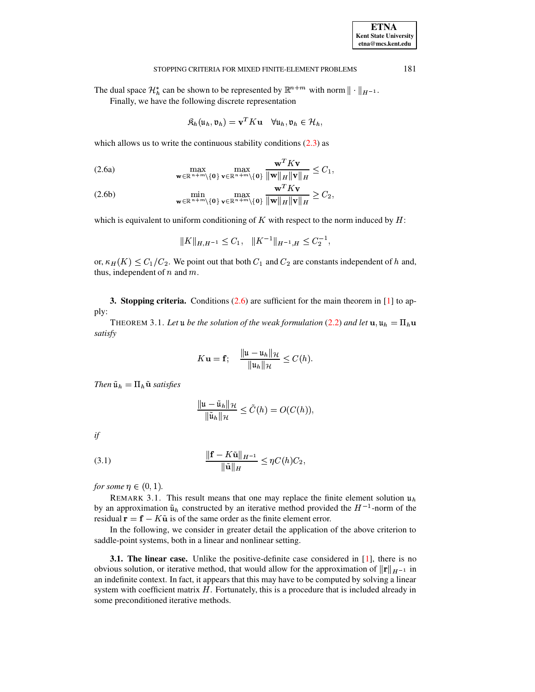#### **ETNA Kent State University etna@mcs.kent.edu**

#### STOPPING CRITERIA FOR MIXED FINITE-ELEMENT PROBLEMS 181

The dual space  $\mathcal{H}_h^*$  can be shown to be represented by  $\mathbb{R}^{n+m}$  with norm  $\|\cdot\|_{H^{-1}}$ .

Finally, we have the following discrete representation

<span id="page-3-1"></span>
$$
\mathfrak{K}_h(\mathfrak{u}_h, \mathfrak{v}_h) = \mathbf{v}^T K \mathbf{u} \quad \forall \mathfrak{u}_h, \mathfrak{v}_h \in \mathcal{H}_h,
$$

which allows us to write the continuous stability conditions  $(2.3)$  as

(2.6a) 
$$
\max_{\mathbf{w}\in\mathbb{R}^{n+m}\setminus\{\mathbf{0}\}}\max_{\mathbf{v}\in\mathbb{R}^{n+m}\setminus\{\mathbf{0}\}}\frac{\mathbf{w}^TK\mathbf{v}}{\|\mathbf{w}\|_H\|\mathbf{v}\|_H}\leq C_1,
$$

(2.6b) 
$$
\min_{\mathbf{w}\in\mathbb{R}^{n+m}\setminus\{\mathbf{0}\}}\max_{\mathbf{v}\in\mathbb{R}^{n+m}\setminus\{\mathbf{0}\}}\frac{\mathbf{w}^TK\mathbf{v}}{\|\mathbf{w}\|_H\|\mathbf{v}\|_H}\geq C_2,
$$

which is equivalent to uniform conditioning of  $K$  with respect to the norm induced by  $H$ :

$$
||K||_{H,H^{-1}} \leq C_1, \quad ||K^{-1}||_{H^{-1},H} \leq C_2^{-1},
$$

or,  $\kappa_H(K) \leq C_1/C_2$ . We point out that both  $C_1$  and  $C_2$  are constants independent of h and, thus, independent of  $n$  and  $m$ .

<span id="page-3-3"></span><span id="page-3-0"></span>**3. Stopping criteria.** Conditions [\(2.6\)](#page-3-1) are sufficient for the main theorem in [\[1\]](#page-13-0) to apply:

THEOREM 3.1. Let  $\bf{u}$  be the solution of the weak formulation [\(2.2\)](#page-1-0) and let  $\bf{u}, \bf{u}_h = \Pi_h \bf{u}$ *satisfy*

$$
K\mathbf{u} = \mathbf{f}; \quad \frac{\|\mathbf{u} - \mathbf{u}_h\|_{\mathcal{H}}}{\|\mathbf{u}_h\|_{\mathcal{H}}} \le C(h).
$$

*Then*  $\tilde{\mathfrak{u}}_h = \Pi_h \tilde{\mathfrak{u}}$  *satisfies* 

$$
\frac{\|\mathfrak{u} - \tilde{\mathfrak{u}}_h\|_{\mathcal{H}}}{\|\tilde{\mathfrak{u}}_h\|_{\mathcal{H}}} \leq \tilde{C}(h) = O(C(h)),
$$

<span id="page-3-2"></span>*if*

(3.1) 
$$
\frac{\|\mathbf{f} - K\tilde{\mathbf{u}}\|_{H^{-1}}}{\|\tilde{\mathbf{u}}\|_{H}} \leq \eta C(h) C_2,
$$

*for some*  $\eta \in (0,1)$ .

REMARK 3.1. This result means that one may replace the finite element solution  $\mathfrak{u}_h$ by an approximation  $\tilde{u}_h$  constructed by an iterative method provided the  $H^{-1}$ -norm of the residual  $\mathbf{r} = \mathbf{f} - K\tilde{\mathbf{u}}$  is of the same order as the finite element error.

In the following, we consider in greater detail the application of the above criterion to saddle-point systems, both in a linear and nonlinear setting.

**3.1. The linear case.** Unlike the positive-definite case considered in [\[1\]](#page-13-0), there is no obvious solution, or iterative method, that would allow for the approximation of  $||\mathbf{r}||_{H^{-1}}$  in an indefinite context. In fact, it appears that this may have to be computed by solving a linear system with coefficient matrix  $H$ . Fortunately, this is a procedure that is included already in some preconditioned iterative methods.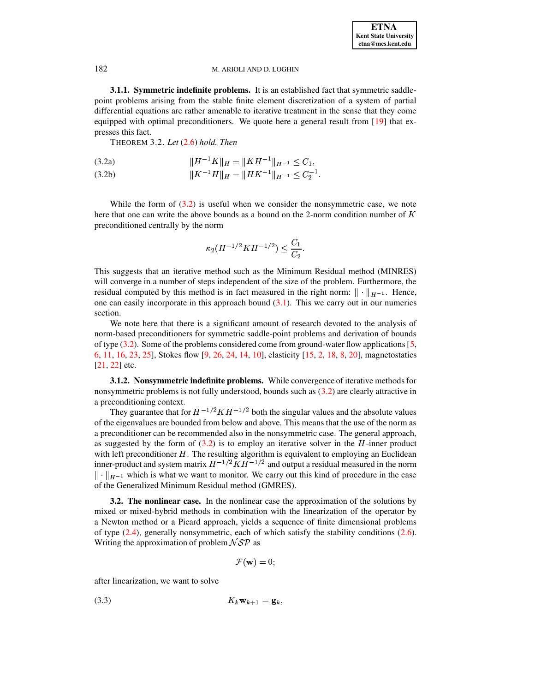**3.1.1. Symmetric indefinite problems.** It is an established fact that symmetric saddlepoint problems arising from the stable finite element discretization of a system of partial differential equations are rather amenable to iterative treatment in the sense that they come equipped with optimal preconditioners. We quote here a general result from  $[19]$  that expresses this fact.

<span id="page-4-0"></span>THEOREM 3.2. *Let* [\(2.6\)](#page-3-1) *hold. Then*

×<sup>ç</sup> ¸ <sup>Ö</sup> Q¸ <sup>×</sup> <sup>ç</sup> (3.2a) ÖÛ£Ü \

(3.2b)  $\|K^{-1}H\|_H = \|HK^{-1}\|_{H^{-1}} \leq C_2^{-1}.$ 

While the form of  $(3.2)$  is useful when we consider the nonsymmetric case, we note here that one can write the above bounds as a bound on the 2-norm condition number of  $K$ preconditioned centrally by the norm

$$
\kappa_2(H^{-1/2}KH^{-1/2})\leq \frac{C_1}{C_2}.
$$

This suggests that an iterative method such as the Minimum Residual method (MINRES) will converge in a number of steps independent of the size of the problem. Furthermore, the residual computed by this method is in fact measured in the right norm:  $\|\cdot\|_{H^{-1}}$ . Hence, one can easily incorporate in this approach bound  $(3.1)$ . This we carry out in our numerics section.

We note here that there is a significant amount of research devoted to the analysis of norm-based preconditioners for symmetric saddle-point problems and derivation of bounds of type [\(3.2\)](#page-4-0). Some of the problems considered come from ground-water flow applications[\[5,](#page-13-4) [6,](#page-13-5) [11,](#page-13-6) [16,](#page-14-3) [23,](#page-14-4) [25\]](#page-14-5), Stokes flow [\[9,](#page-13-7) [26,](#page-14-6) [24,](#page-14-7) [14,](#page-13-8) [10\]](#page-13-9), elasticity [\[15,](#page-14-8) [2,](#page-13-10) [18,](#page-14-9) [8,](#page-13-11) [20\]](#page-14-10), magnetostatics [\[21,](#page-14-11) [22\]](#page-14-12) etc.

<span id="page-4-2"></span>**3.1.2. Nonsymmetric indefinite problems.** While convergence of iterative methodsfor nonsymmetric problems is not fully understood, bounds such as [\(3.2\)](#page-4-0) are clearly attractive in a preconditioning context.

They guarantee that for  $H^{-1/2} K H^{-1/2}$  both the singular values and the absolute values of the eigenvalues are bounded from below and above. This means that the use of the norm as a preconditioner can be recommended also in the nonsymmetric case. The general approach, as suggested by the form of  $(3.2)$  is to employ an iterative solver in the  $H$ -inner product with left preconditioner  $H$ . The resulting algorithm is equivalent to employing an Euclidean inner-product and system matrix  $H^{-1/2}KH^{-1/2}$  and output a residual measured in the norm  $\Vert \cdot \Vert_{H^{-1}}$  which is what we want to monitor. We carry out this kind of procedure in the case of the Generalized Minimum Residual method (GMRES).

**3.2. The nonlinear case.** In the nonlinear case the approximation of the solutions by mixed or mixed-hybrid methods in combination with the linearization of the operator by a Newton method or a Picard approach, yields a sequence of finite dimensional problems of type [\(2.4\)](#page-2-1), generally nonsymmetric, each of which satisfy the stability conditions [\(2.6\)](#page-3-1). Writing the approximation of problem  $\mathcal{NSP}$  as

$$
\mathcal{F}(\mathbf{w})=0;
$$

<span id="page-4-1"></span>after linearization, we want to solve

(3.3)  $K_k \mathbf{w}_{k+1} = \mathbf{g}_k,$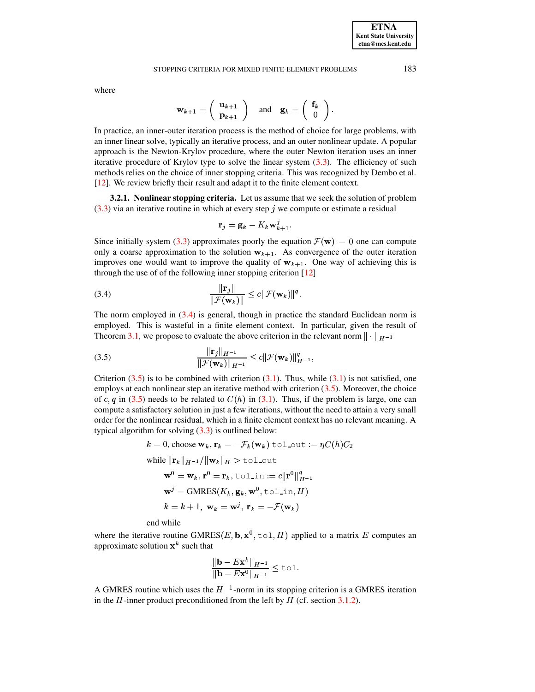where

$$
\mathbf{w}_{k+1} = \left( \begin{array}{c} \mathbf{u}_{k+1} \\ \mathbf{p}_{k+1} \end{array} \right) \quad \text{and} \quad \mathbf{g}_k = \left( \begin{array}{c} \mathbf{f}_k \\ 0 \end{array} \right).
$$

In practice, an inner-outer iteration process is the method of choice for large problems, with an inner linear solve, typically an iterative process, and an outer nonlinear update. A popular approach is the Newton-Krylov procedure, where the outer Newton iteration uses an inner iterative procedure of Krylov type to solve the linear system  $(3.3)$ . The efficiency of such methods relies on the choice of inner stopping criteria. This was recognized by Dembo et al. [\[12\]](#page-13-12). We review briefly their result and adapt it to the finite element context.

**3.2.1. Nonlinear stopping criteria.** Let us assume that we seek the solution of problem  $(3.3)$  via an iterative routine in which at every step j we compute or estimate a residual

<span id="page-5-1"></span><span id="page-5-0"></span>
$$
\mathbf{r}_j = \mathbf{g}_k - K_k \mathbf{w}_{k+1}^j.
$$

Since initially system [\(3.3\)](#page-4-1) approximates poorly the equation  $\mathcal{F}(\mathbf{w}) = 0$  one can compute only a coarse approximation to the solution  $w_{k+1}$ . As convergence of the outer iteration improves one would want to improve the quality of  $w_{k+1}$ . One way of achieving this is through the use of of the following inner stopping criterion [\[12\]](#page-13-12)

(3.4) 
$$
\frac{\|\mathbf{r}_j\|}{\|\mathcal{F}(\mathbf{w}_k)\|} \leq c \|\mathcal{F}(\mathbf{w}_k)\|^q.
$$

The norm employed in [\(3.4\)](#page-5-0) is general, though in practice the standard Euclidean norm is employed. This is wasteful in a finite element context. In particular, given the result of Theorem [3.1,](#page-3-3) we propose to evaluate the above criterion in the relevant norm  $\|\cdot\|_{H^{-1}}$ 

(3.5) 
$$
\frac{\|\mathbf{r}_j\|_{H^{-1}}}{\|\mathcal{F}(\mathbf{w}_k)\|_{H^{-1}}} \leq c \|\mathcal{F}(\mathbf{w}_k)\|_{H^{-1}}^q,
$$

Criterion  $(3.5)$  is to be combined with criterion  $(3.1)$ . Thus, while  $(3.1)$  is not satisfied, one employs at each nonlinear step an iterative method with criterion  $(3.5)$ . Moreover, the choice of c, q in [\(3.5\)](#page-5-1) needs to be related to  $C(h)$  in [\(3.1\)](#page-3-2). Thus, if the problem is large, one can compute a satisfactory solution in just a few iterations, without the need to attain a very small order for the nonlinear residual, which in a finite element context has no relevant meaning. A typical algorithm for solving  $(3.3)$  is outlined below:

$$
k = 0, \text{choose } \mathbf{w}_k, \mathbf{r}_k = -\mathcal{F}_k(\mathbf{w}_k) \text{ tol.out} := \eta C(h)C_2
$$
  
while  $\|\mathbf{r}_k\|_{H^{-1}} / \|\mathbf{w}_k\|_H > \text{tol-out}$   
 $\mathbf{w}^0 = \mathbf{w}_k, \mathbf{r}^0 = \mathbf{r}_k, \text{tol.in} := c \|\mathbf{r}^0\|_{H^{-1}}^q$   
 $\mathbf{w}^j = \text{GMRES}(K_k, \mathbf{g}_k, \mathbf{w}^0, \text{tol.in}, H)$   
 $k = k + 1, \mathbf{w}_k = \mathbf{w}^j, \mathbf{r}_k = -\mathcal{F}(\mathbf{w}_k)$ 

end while

where the iterative routine GMRES(E, b,  $x^0$ ,  $\text{tol}, H$ ) applied to a matrix E computes an approximate solution  $x^k$  such that

$$
\frac{\|\mathbf{b} - E\mathbf{x}^{k}\|_{H^{-1}}}{\|\mathbf{b} - E\mathbf{x}^{0}\|_{H^{-1}}} \leq \text{tol}.
$$

A GMRES routine which uses the  $H^{-1}$ -norm in its stopping criterion is a GMRES iteration in the  $H$ -inner product preconditioned from the left by  $H$  (cf. section [3.1.2\)](#page-4-2).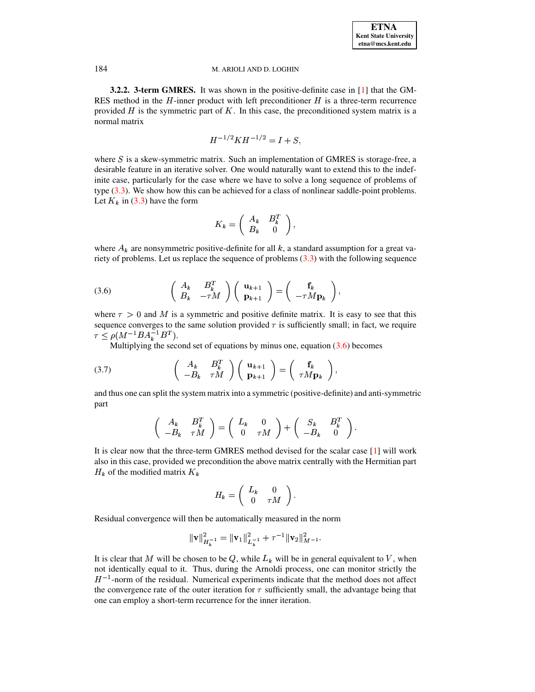<span id="page-6-2"></span>**3.2.2. 3-term GMRES.** It was shown in the positive-definite case in [\[1\]](#page-13-0) that the GM-RES method in the  $H$ -inner product with left preconditioner  $H$  is a three-term recurrence provided  $H$  is the symmetric part of  $K$ . In this case, the preconditioned system matrix is a normal matrix

$$
H^{-1/2}KH^{-1/2} = I + S,
$$

where  $S$  is a skew-symmetric matrix. Such an implementation of GMRES is storage-free, a desirable feature in an iterative solver. One would naturally want to extend this to the indefinite case, particularly for the case where we have to solve a long sequence of problems of type [\(3.3\)](#page-4-1). We show how this can be achieved for a class of nonlinear saddle-point problems. Let  $K_k$  in [\(3.3\)](#page-4-1) have the form

$$
K_k = \left( \begin{array}{cc} A_k & B_k^T \\ B_k & 0 \end{array} \right),
$$

where  $A_k$  are nonsymmetric positive-definite for all k, a standard assumption for a great variety of problems. Let us replace the sequence of problems  $(3.3)$  with the following sequence

<span id="page-6-0"></span>(3.6) 
$$
\begin{pmatrix} A_k & B_k^T \ B_k & -\tau M \end{pmatrix} \begin{pmatrix} \mathbf{u}_{k+1} \\ \mathbf{p}_{k+1} \end{pmatrix} = \begin{pmatrix} \mathbf{f}_k \\ -\tau M \mathbf{p}_k \end{pmatrix},
$$

where  $\tau > 0$  and M is a symmetric and positive definite matrix. It is easy to see that this sequence converges to the same solution provided  $\tau$  is sufficiently small; in fact, we require  $\tau \leq \rho(M^{-1}BA_k^{-1}B^T).$  $B^T$ ).

Multiplying the second set of equations by minus one, equation  $(3.6)$  becomes

(3.7) 
$$
\begin{pmatrix} A_k & B_k^T \ -B_k & \tau M \end{pmatrix} \begin{pmatrix} \mathbf{u}_{k+1} \\ \mathbf{p}_{k+1} \end{pmatrix} = \begin{pmatrix} \mathbf{f}_k \\ \tau M \mathbf{p}_k \end{pmatrix},
$$

and thus one can split the system matrix into a symmetric (positive-definite) and anti-symmetric part

<span id="page-6-1"></span>the contract of the contract of the

$$
\left(\begin{array}{cc}A_k&B_k^T\\-B_k&\tau M\end{array}\right)=\left(\begin{array}{cc}L_k&0\\0&\tau M\end{array}\right)+\left(\begin{array}{cc}S_k&B_k^T\\-B_k&0\end{array}\right).
$$

It is clear now that the three-term GMRES method devised for the scalar case [\[1\]](#page-13-0) will work also in this case, provided we precondition the above matrix centrally with the Hermitian part  $H_k$  of the modified matrix  $K_k$ 

$$
H_k=\left(\begin{array}{cc}L_k&0\\0&\tau M\end{array}\right).
$$

Residual convergence will then be automatically measured in the norm

$$
\|\mathbf{v}\|_{H^{-1}_k}^2=\|\mathbf{v}_1\|_{L^{-1}_k}^2+\tau^{-1}\|\mathbf{v}_2\|_{M^{-1}}^2.
$$

It is clear that M will be chosen to be Q, while  $L_k$  will be in general equivalent to V, when not identically equal to it. Thus, during the Arnoldi process, one can monitor strictly the  $H^{-1}$ -norm of the residual. Numerical experiments indicate that the method does not affect the convergence rate of the outer iteration for  $\tau$  sufficiently small, the advantage being that one can employ a short-term recurrence for the inner iteration.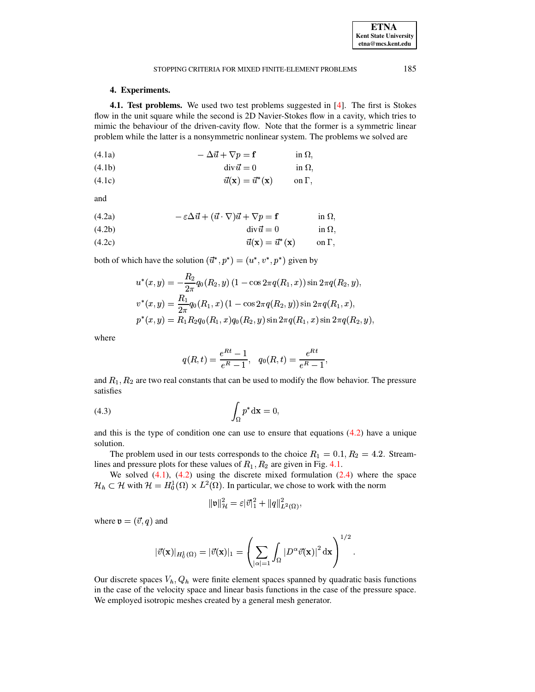# **4. Experiments.**

<span id="page-7-0"></span>**4.1. Test problems.** We used two test problems suggested in [\[4\]](#page-13-13). The first is Stokes flow in the unit square while the second is 2D Navier-Stokes flow in a cavity, which tries to mimic the behaviour of the driven-cavity flow. Note that the former is a symmetric linear problem while the latter is a nonsymmetric nonlinear system. The problems we solved are

(4.1a) 
$$
-\Delta \vec{u} + \nabla p = \mathbf{f} \qquad \text{in } \Omega,
$$

$$
\operatorname{div}\vec{u} = 0 \qquad \text{in } \Omega,
$$

$$
\vec{u}(\mathbf{x}) = \vec{u}^*(\mathbf{x}) \qquad \text{on } \Gamma,
$$

<span id="page-7-1"></span>and

(4.2a) 
$$
-\varepsilon \Delta \vec{u} + (\vec{u} \cdot \nabla) \vec{u} + \nabla p = \mathbf{f} \qquad \text{in } \Omega,
$$

div >zQ (4.2b) in ´

$$
\vec{u}(\mathbf{x}) = \vec{u}^*(\mathbf{x}) \qquad \text{on } \Gamma,
$$

both of which have the solution  $(\vec{u}^*, p^*) = (u^*, v^*, p^*)$  given by

$$
u^*(x,y) = -\frac{R_2}{2\pi} q_0(R_2, y) (1 - \cos 2\pi q(R_1, x)) \sin 2\pi q(R_2, y),
$$
  
\n
$$
v^*(x,y) = \frac{R_1}{2\pi} q_0(R_1, x) (1 - \cos 2\pi q(R_2, y)) \sin 2\pi q(R_1, x),
$$
  
\n
$$
p^*(x,y) = R_1 R_2 q_0(R_1, x) q_0(R_2, y) \sin 2\pi q(R_1, x) \sin 2\pi q(R_2, y),
$$

where

$$
q(R,t) = \frac{e^{Rt} - 1}{e^R - 1}, \quad q_0(R,t) = \frac{e^{Rt}}{e^R - 1},
$$

<span id="page-7-3"></span>and  $R_1, R_2$  are two real constants that can be used to modify the flow behavior. The pressure satisfies

$$
\int_{\Omega} p^* \mathrm{d} \mathbf{x} = 0,
$$

and this is the type of condition one can use to ensure that equations  $(4.2)$  have a unique solution.

The problem used in our tests corresponds to the choice  $R_1 = 0.1, R_2 = 4.2$ . Streamlines and pressure plots for these values of  $R_1, R_2$  are given in Fig. [4.1.](#page-8-0)

We solved  $(4.1)$ ,  $(4.2)$  using the discrete mixed formulation  $(2.4)$  where the space  $\mathcal{H}_h \subset \mathcal{H}$  with  $\mathcal{H} = H_0^1(\Omega) \times L^2(\Omega)$ . In particular, we chose to work with the norm

$$
\|\mathfrak{v}\|_{\mathcal{H}}^2=\varepsilon|\vec{v}|_1^2+\|q\|_{L^2(\Omega)}^2,
$$

where  $\mathfrak{v}=(\vec{v},q)$  and

$$
|\vec{v}(\mathbf{x})|_{H^1_0(\Omega)}=|\vec{v}(\mathbf{x})|_1=\left(\sum_{|\alpha|=1}\int_{\Omega}\left|D^{\alpha}\vec{v}(\mathbf{x})\right|^2\mathrm{d}\mathbf{x}\right)^{1/2}.
$$

Our discrete spaces  $V_h$ ,  $Q_h$  were finite element spaces spanned by quadratic basis functions in the case of the velocity space and linear basis functions in the case of the pressure space. We employed isotropic meshes created by a general mesh generator.

<span id="page-7-2"></span>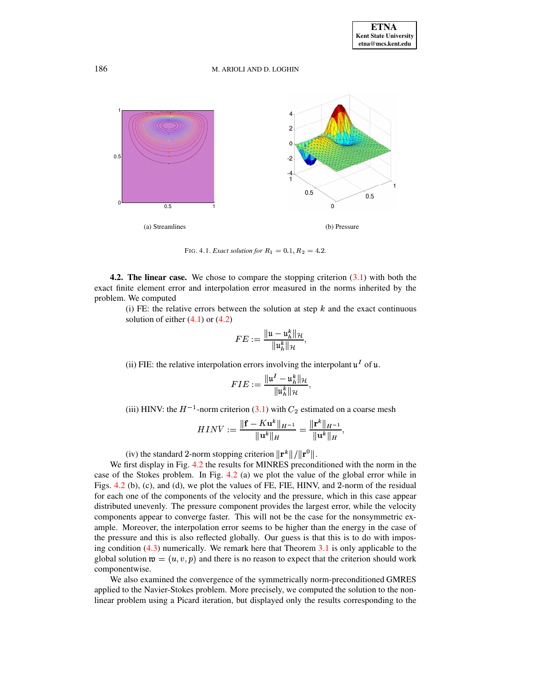

<span id="page-8-0"></span>FIG. 4.1. *Exact solution for*  $R_1 = 0.1, R_2 = 4.2$ .

**4.2. The linear case.** We chose to compare the stopping criterion [\(3.1\)](#page-3-2) with both the exact finite element error and interpolation error measured in the norms inherited by the problem. We computed

(i) FE: the relative errors between the solution at step  $k$  and the exact continuous solution of either  $(4.1)$  or  $(4.2)$ 

$$
FE:=\frac{\|{\mathfrak{u}}-{\mathfrak{u}}_h^k\|_{\mathcal{H}}}{\|{\mathfrak{u}}_h^k\|_{\mathcal{H}}},
$$

(ii) FIE: the relative interpolation errors involving the interpolant  $\mathfrak{u}^I$  of  $\mathfrak{u}$ .

$$
FIE:=\frac{\|\mathfrak{u}^I-\mathfrak{u}_h^k\|_{\mathcal{H}}}{\|\mathfrak{u}_h^k\|_{\mathcal{H}}},
$$

(iii) HINV: the  $H^{-1}$ -norm criterion [\(3.1\)](#page-3-2) with  $C_2$  estimated on a coarse mesh

$$
HINV:=\frac{\|\mathbf{f}-K\mathbf{u}^{k}\|_{H^{-1}}}{\|\mathbf{u}^{k}\|_{H}}=\frac{\|\mathbf{r}^{k}\|_{H^{-1}}}{\|\mathbf{u}^{k}\|_{H}},
$$

(iv) the standard 2-norm stopping criterion  $\|\mathbf{r}^k\|/\|\mathbf{r}^0\|$ .  $^{\circ}$   $\parallel$ .

We first display in Fig. [4.2](#page-9-0) the results for MINRES preconditioned with the norm in the case of the Stokes problem. In Fig. [4.2](#page-9-0) (a) we plot the value of the global error while in Figs.  $4.2$  (b), (c), and (d), we plot the values of FE, FIE, HINV, and 2-norm of the residual for each one of the components of the velocity and the pressure, which in this case appear distributed unevenly. The pressure component provides the largest error, while the velocity components appear to converge faster. This will not be the case for the nonsymmetric example. Moreover, the interpolation error seems to be higher than the energy in the case of the pressure and this is also reflected globally. Our guess is that this is to do with imposing condition [\(4.3\)](#page-7-3) numerically. We remark here that Theorem [3.1](#page-3-3) is only applicable to the global solution  $\mathfrak{w}=(u,v,p)$  and there is no reason to expect that the criterion should work componentwise.

We also examined the convergence of the symmetrically norm-preconditioned GMRES applied to the Navier-Stokes problem. More precisely, we computed the solution to the nonlinear problem using a Picard iteration, but displayed only the results corresponding to the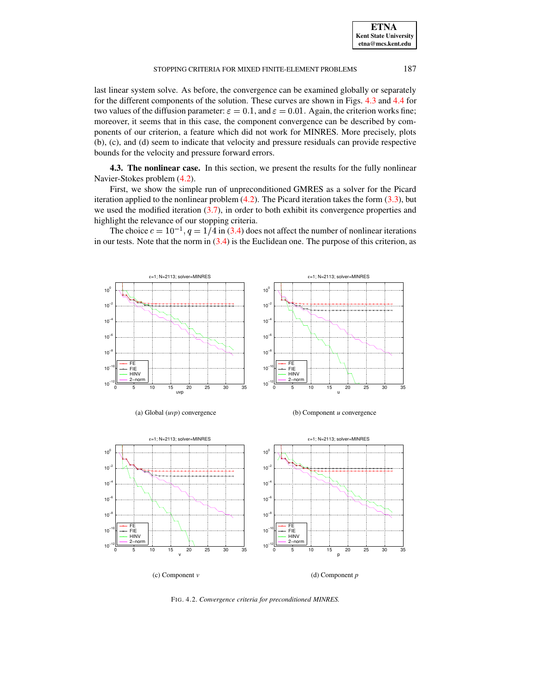last linear system solve. As before, the convergence can be examined globally or separately for the different components of the solution. These curves are shown in Figs. [4.3](#page-10-0) and [4.4](#page-11-0) for two values of the diffusion parameter:  $\varepsilon = 0.1$ , and  $\varepsilon = 0.01$ . Again, the criterion works fine; moreover, it seems that in this case, the component convergence can be described by components of our criterion, a feature which did not work for MINRES. More precisely, plots (b), (c), and (d) seem to indicate that velocity and pressure residuals can provide respective bounds for the velocity and pressure forward errors.

**4.3. The nonlinear case.** In this section, we present the results for the fully nonlinear Navier-Stokes problem [\(4.2\)](#page-7-1).

First, we show the simple run of unpreconditioned GMRES as a solver for the Picard iteration applied to the nonlinear problem [\(4.2\)](#page-7-1). The Picard iteration takes the form [\(3.3\)](#page-4-1), but we used the modified iteration  $(3.7)$ , in order to both exhibit its convergence properties and highlight the relevance of our stopping criteria.

The choice  $c = 10^{-1}$ ,  $q = 1/4$  in [\(3.4\)](#page-5-0) does not affect the number of nonlinear iterations in our tests. Note that the norm in  $(3.4)$  is the Euclidean one. The purpose of this criterion, as





(b) Component *u* convergence



<span id="page-9-0"></span>FIG. 4.2. *Convergence criteria for preconditioned MINRES.*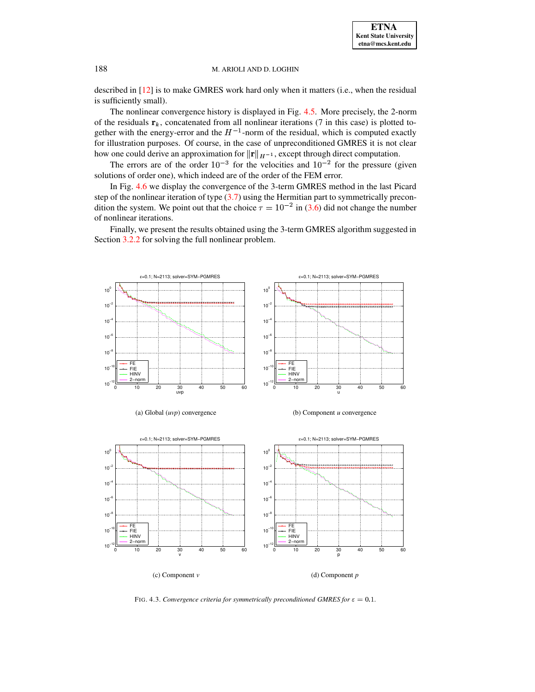described in [\[12\]](#page-13-12) is to make GMRES work hard only when it matters (i.e., when the residual is sufficiently small).

The nonlinear convergence history is displayed in Fig. [4.5.](#page-11-1) More precisely, the 2-norm of the residuals  $\mathbf{r}_k$ , concatenated from all nonlinear iterations (7 in this case) is plotted together with the energy-error and the  $H^{-1}$ -norm of the residual, which is computed exactly for illustration purposes. Of course, in the case of unpreconditioned GMRES it is not clear how one could derive an approximation for  $||\mathbf{r}||_{H^{-1}}$ , except through direct computation.

The errors are of the order  $10^{-3}$  for the velocities and  $10^{-2}$  for the pressure (given solutions of order one), which indeed are of the order of the FEM error.

In Fig. [4.6](#page-12-0) we display the convergence of the 3-term GMRES method in the last Picard step of the nonlinear iteration of type  $(3.7)$  using the Hermitian part to symmetrically precondition the system. We point out that the choice  $\tau = 10^{-2}$  in [\(3.6\)](#page-6-0) did not change the number of nonlinear iterations.

Finally, we present the results obtained using the 3-term GMRES algorithm suggested in Section [3.2.2](#page-6-2) for solving the full nonlinear problem.





(b) Component *u* convergence



<span id="page-10-0"></span>FIG. 4.3. *Convergence criteria for symmetrically preconditioned GMRES for*  $\varepsilon = 0.1$ *.*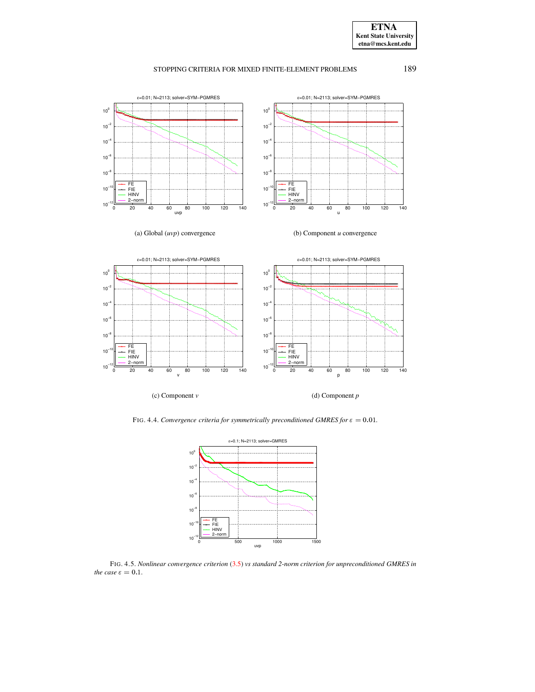**ETNA Kent State University etna@mcs.kent.edu**

# STOPPING CRITERIA FOR MIXED FINITE-ELEMENT PROBLEMS 189





<span id="page-11-0"></span>FIG. 4.4. *Convergence criteria for symmetrically preconditioned GMRES for*  $\varepsilon = 0.01$ *.* 



<span id="page-11-1"></span>FIG. 4.5. *Nonlinear convergence criterion* [\(3.5\)](#page-5-1) *vs standard 2-norm criterion for unpreconditioned GMRES in the case*  $\varepsilon = 0.1$ *.*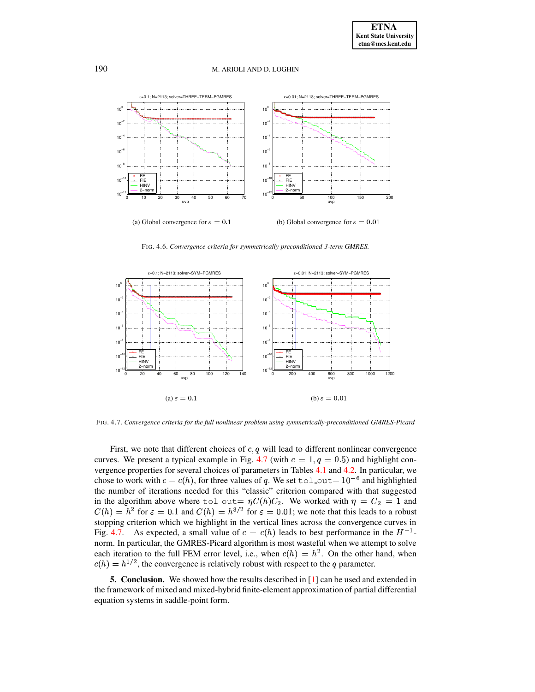

FIG. 4.6. *Convergence criteria for symmetrically preconditioned 3-term GMRES.*

<span id="page-12-0"></span>

<span id="page-12-1"></span>FIG. 4.7. *Convergence criteria for the full nonlinear problem using symmetrically-preconditioned GMRES-Picard*

First, we note that different choices of  $c, q$  will lead to different nonlinear convergence curves. We present a typical example in Fig. [4.7](#page-12-1) (with  $c = 1, q = 0.5$ ) and highlight con-vergence properties for several choices of parameters in Tables [4.1](#page-13-14) and [4.2.](#page-13-15) In particular, we chose to work with  $c = c(h)$ , for three values of q. We set tol out $= 10^{-6}$  and highlighted the number of iterations needed for this "classic" criterion compared with that suggested in the algorithm above where tol out  $\eta C(h)C_2$ . We worked with  $\eta = C_2 = 1$  and  $C(h) = h^2$  for  $\varepsilon = 0.1$  and  $C(h) = h^{3/2}$  for  $\varepsilon = 0.01$ ; we note that this leads to a robust stopping criterion which we highlight in the vertical lines across the convergence curves in Fig. [4.7.](#page-12-1) As expected, a small value of  $c = c(h)$  leads to best performance in the  $H^{-1}$ norm. In particular, the GMRES-Picard algorithm is most wasteful when we attempt to solve each iteration to the full FEM error level, i.e., when  $c(h) = h^2$ . On the other hand, when  $c(h) = h^{1/2}$ , the convergence is relatively robust with respect to the q parameter.

**5. Conclusion.** We showed how the results described in [\[1\]](#page-13-0) can be used and extended in the framework of mixed and mixed-hybrid finite-element approximation of partial differential equation systems in saddle-point form.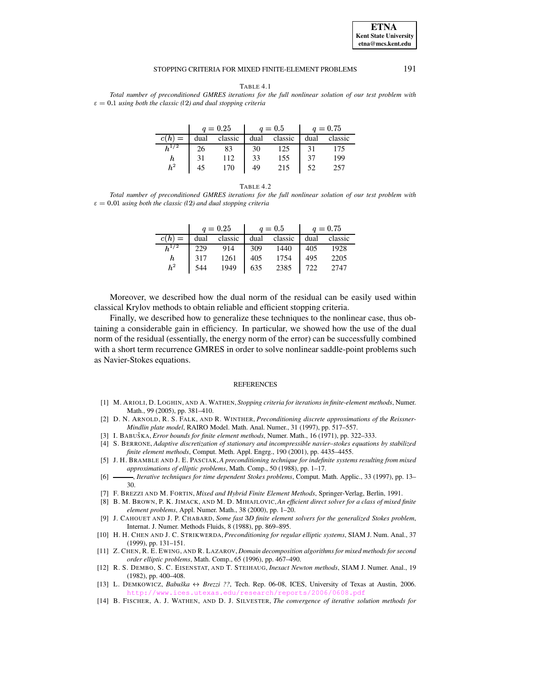### **ETNA Kent State University etna@mcs.kent.edu**

#### STOPPING CRITERIA FOR MIXED FINITE-ELEMENT PROBLEMS 191

TABLE 4.1

<span id="page-13-14"></span>*Total number of preconditioned GMRES iterations for the full nonlinear solution of our test problem with*  $\varepsilon = 0.1$  *using both the classic* (12) *and dual stopping criteria* 

|                 | $q = 0.25$ |         | $q = 0.5$ |         | $q = 0.75$ |         |
|-----------------|------------|---------|-----------|---------|------------|---------|
|                 | dual       | classic | dual      | classic | dual       | classic |
|                 |            | 83      | 30        | 125     |            | 175     |
|                 |            | 112     | 33        | 155     | 37         | 199     |
| $\frac{h}{h^2}$ |            | 170     | 49        | 215     |            | 257     |

TABLE 4.2

<span id="page-13-15"></span>*Total number of preconditioned GMRES iterations for the full nonlinear solution of our test problem with*  $\varepsilon = 0.01$  *using both the classic* (12) *and dual stopping criteria* 

|                 |     |             | $q = 0.25$   $q = 0.5$ |                                                 | $q = 0.75$ |      |
|-----------------|-----|-------------|------------------------|-------------------------------------------------|------------|------|
|                 |     |             |                        | $c(h) =$ dual classic dual classic dual classic |            |      |
| $h^{1/2}$       | 229 |             | 309                    | 1440                                            | 405        | 1928 |
| $\frac{h}{h^2}$ | 317 | 914<br>1261 | 405                    | 1754                                            | 495        | 2205 |
|                 | 544 | 1949        | 1635                   | 2385                                            | $\mid$ 722 | 2747 |

Moreover, we described how the dual norm of the residual can be easily used within classical Krylov methods to obtain reliable and efficient stopping criteria.

Finally, we described how to generalize these techniques to the nonlinear case, thus obtaining a considerable gain in efficiency. In particular, we showed how the use of the dual norm of the residual (essentially, the energy norm of the error) can be successfully combined with a short term recurrence GMRES in order to solve nonlinear saddle-point problems such as Navier-Stokes equations.

#### **REFERENCES**

- <span id="page-13-0"></span>[1] M. ARIOLI, D. LOGHIN, AND A. WATHEN, *Stopping criteria for iterations in finite-element methods*, Numer. Math., 99 (2005), pp. 381–410.
- <span id="page-13-10"></span>[2] D. N. ARNOLD, R. S. FALK, AND R. WINTHER, *Preconditioning discrete approximations of the Reissner-Mindlin plate model*, RAIRO Model. Math. Anal. Numer., 31 (1997), pp. 517–557.
- <span id="page-13-13"></span><span id="page-13-3"></span>[3] I. BABUSˇ KA, *Error bounds for finite element methods*, Numer. Math., 16 (1971), pp. 322–333.
- [4] S. BERRONE, *Adaptive discretization of stationary and incompressible navier–stokes equations by stabilized finite element methods*, Comput. Meth. Appl. Engrg., 190 (2001), pp. 4435–4455.
- <span id="page-13-4"></span>[5] J. H. BRAMBLE AND J. E. PASCIAK,*A preconditioning technique for indefinite systems resulting from mixed approximations of elliptic problems*, Math. Comp., 50 (1988), pp. 1–17.
- <span id="page-13-5"></span><span id="page-13-1"></span>[6] , *Iterative techniques for time dependent Stokes problems*, Comput. Math. Applic., 33 (1997), pp. 13– 30.
- <span id="page-13-11"></span>[7] F. BREZZI AND M. FORTIN, *Mixed and Hybrid Finite Element Methods*, Springer-Verlag, Berlin, 1991.
- [8] B. M. BROWN, P. K. JIMACK, AND M. D. MIHAJLOVIC,*An efficient direct solver for a class of mixed finite element problems*, Appl. Numer. Math., 38 (2000), pp. 1–20.
- <span id="page-13-7"></span>[9] J. CAHOUET AND J. P. CHABARD, *Some fast* <sup>m</sup>*D finite element solvers for the generalized Stokes problem*, Internat. J. Numer. Methods Fluids, 8 (1988), pp. 869–895.
- <span id="page-13-9"></span>[10] H. H. CHEN AND J. C. STRIKWERDA, *Preconditioning for regular elliptic systems*, SIAM J. Num. Anal., 37 (1999), pp. 131–151.
- <span id="page-13-6"></span>[11] Z. CHEN, R. E. EWING, AND R. LAZAROV, *Domain decomposition algorithms for mixed methods for second order elliptic problems*, Math. Comp., 65 (1996), pp. 467–490.
- <span id="page-13-12"></span>[12] R. S. DEMBO, S. C. EISENSTAT, AND T. STEIHAUG, *Inexact Newton methods*, SIAM J. Numer. Anal., 19 (1982), pp. 400–408.
- <span id="page-13-2"></span>[13] L. DEMKOWICZ, *Babuska ˇ* <sup>n</sup> *Brezzi ??*, Tech. Rep. 06-08, ICES, University of Texas at Austin, 2006. <http://www.ices.utexas.edu/research/reports/2006/0608.pdf>
- <span id="page-13-8"></span>[14] B. FISCHER, A. J. WATHEN, AND D. J. SILVESTER, *The convergence of iterative solution methods for*